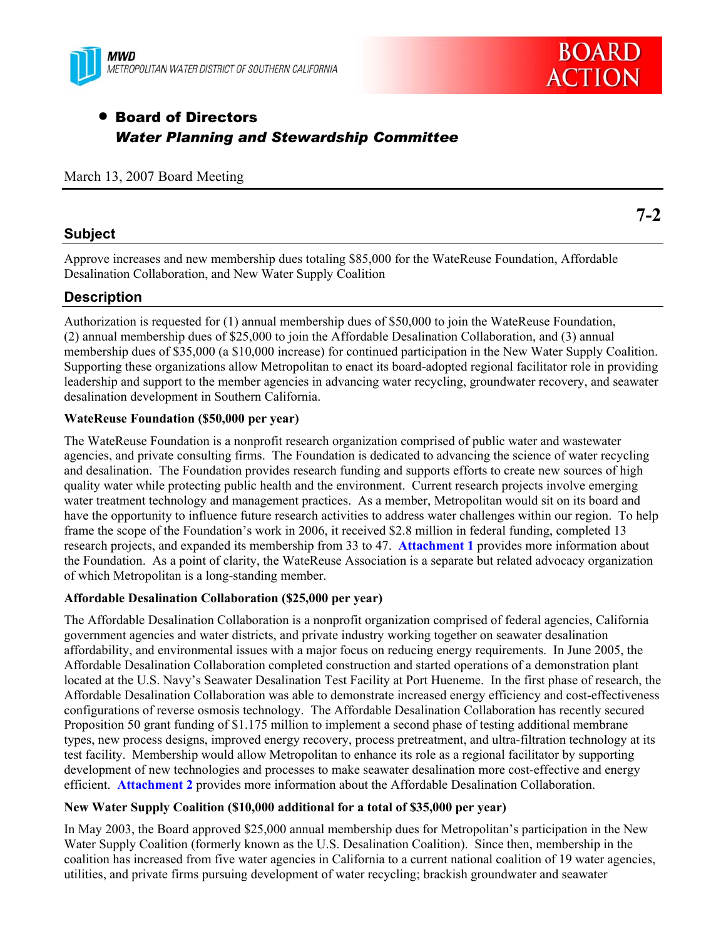



**7-2** 

# • Board of Directors *Water Planning and Stewardship Committee*

### March 13, 2007 Board Meeting

# **Subject**

Approve increases and new membership dues totaling \$85,000 for the WateReuse Foundation, Affordable Desalination Collaboration, and New Water Supply Coalition

# **Description**

Authorization is requested for (1) annual membership dues of \$50,000 to join the WateReuse Foundation, (2) annual membership dues of \$25,000 to join the Affordable Desalination Collaboration, and (3) annual membership dues of \$35,000 (a \$10,000 increase) for continued participation in the New Water Supply Coalition. Supporting these organizations allow Metropolitan to enact its board-adopted regional facilitator role in providing leadership and support to the member agencies in advancing water recycling, groundwater recovery, and seawater desalination development in Southern California.

#### **WateReuse Foundation (\$50,000 per year)**

The WateReuse Foundation is a nonprofit research organization comprised of public water and wastewater agencies, and private consulting firms. The Foundation is dedicated to advancing the science of water recycling and desalination. The Foundation provides research funding and supports efforts to create new sources of high quality water while protecting public health and the environment. Current research projects involve emerging water treatment technology and management practices. As a member, Metropolitan would sit on its board and have the opportunity to influence future research activities to address water challenges within our region. To help frame the scope of the Foundation's work in 2006, it received \$2.8 million in federal funding, completed 13 research projects, and expanded its membership from 33 to 47. **Attachment 1** provides more information about the Foundation. As a point of clarity, the WateReuse Association is a separate but related advocacy organization of which Metropolitan is a long-standing member.

# **Affordable Desalination Collaboration (\$25,000 per year)**

The Affordable Desalination Collaboration is a nonprofit organization comprised of federal agencies, California government agencies and water districts, and private industry working together on seawater desalination affordability, and environmental issues with a major focus on reducing energy requirements. In June 2005, the Affordable Desalination Collaboration completed construction and started operations of a demonstration plant located at the U.S. Navy's Seawater Desalination Test Facility at Port Hueneme. In the first phase of research, the Affordable Desalination Collaboration was able to demonstrate increased energy efficiency and cost-effectiveness configurations of reverse osmosis technology. The Affordable Desalination Collaboration has recently secured Proposition 50 grant funding of \$1.175 million to implement a second phase of testing additional membrane types, new process designs, improved energy recovery, process pretreatment, and ultra-filtration technology at its test facility. Membership would allow Metropolitan to enhance its role as a regional facilitator by supporting development of new technologies and processes to make seawater desalination more cost-effective and energy efficient. **Attachment 2** provides more information about the Affordable Desalination Collaboration.

# **New Water Supply Coalition (\$10,000 additional for a total of \$35,000 per year)**

In May 2003, the Board approved \$25,000 annual membership dues for Metropolitan's participation in the New Water Supply Coalition (formerly known as the U.S. Desalination Coalition). Since then, membership in the coalition has increased from five water agencies in California to a current national coalition of 19 water agencies, utilities, and private firms pursuing development of water recycling; brackish groundwater and seawater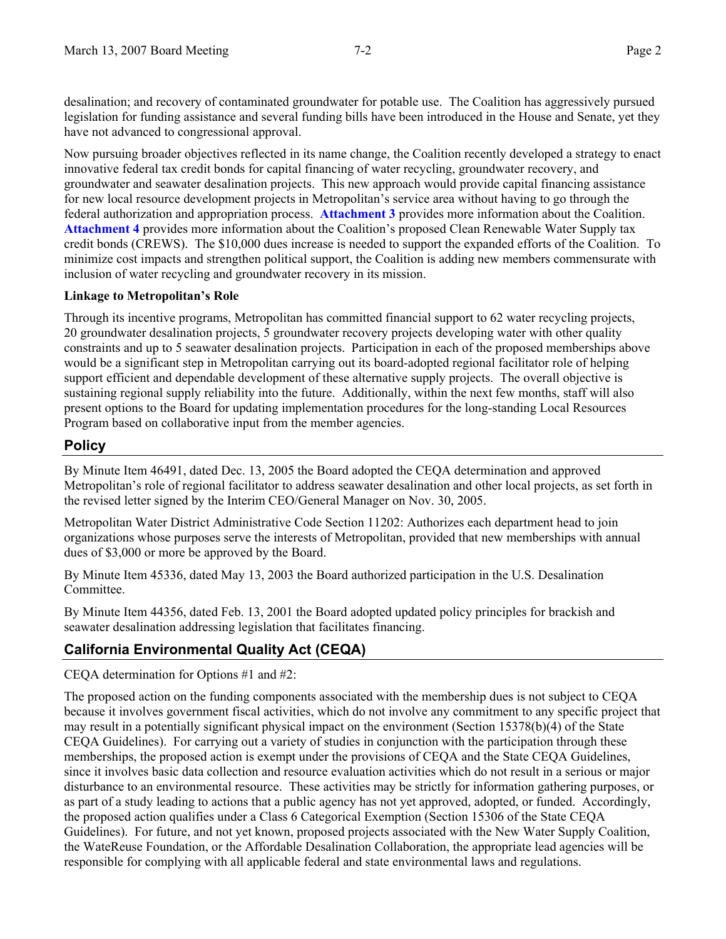desalination; and recovery of contaminated groundwater for potable use. The Coalition has aggressively pursued legislation for funding assistance and several funding bills have been introduced in the House and Senate, yet they have not advanced to congressional approval.

Now pursuing broader objectives reflected in its name change, the Coalition recently developed a strategy to enact innovative federal tax credit bonds for capital financing of water recycling, groundwater recovery, and groundwater and seawater desalination projects. This new approach would provide capital financing assistance for new local resource development projects in Metropolitan's service area without having to go through the federal authorization and appropriation process. **Attachment 3** provides more information about the Coalition. **Attachment 4** provides more information about the Coalition's proposed Clean Renewable Water Supply tax credit bonds (CREWS). The \$10,000 dues increase is needed to support the expanded efforts of the Coalition. To minimize cost impacts and strengthen political support, the Coalition is adding new members commensurate with inclusion of water recycling and groundwater recovery in its mission.

### **Linkage to Metropolitan's Role**

Through its incentive programs, Metropolitan has committed financial support to 62 water recycling projects, 20 groundwater desalination projects, 5 groundwater recovery projects developing water with other quality constraints and up to 5 seawater desalination projects. Participation in each of the proposed memberships above would be a significant step in Metropolitan carrying out its board-adopted regional facilitator role of helping support efficient and dependable development of these alternative supply projects. The overall objective is sustaining regional supply reliability into the future. Additionally, within the next few months, staff will also present options to the Board for updating implementation procedures for the long-standing Local Resources Program based on collaborative input from the member agencies.

# **Policy**

By Minute Item 46491, dated Dec. 13, 2005 the Board adopted the CEQA determination and approved Metropolitan's role of regional facilitator to address seawater desalination and other local projects, as set forth in the revised letter signed by the Interim CEO/General Manager on Nov. 30, 2005.

Metropolitan Water District Administrative Code Section 11202: Authorizes each department head to join organizations whose purposes serve the interests of Metropolitan, provided that new memberships with annual dues of \$3,000 or more be approved by the Board.

By Minute Item 45336, dated May 13, 2003 the Board authorized participation in the U.S. Desalination Committee.

By Minute Item 44356, dated Feb. 13, 2001 the Board adopted updated policy principles for brackish and seawater desalination addressing legislation that facilitates financing.

# **California Environmental Quality Act (CEQA)**

CEQA determination for Options #1 and #2:

The proposed action on the funding components associated with the membership dues is not subject to CEQA because it involves government fiscal activities, which do not involve any commitment to any specific project that may result in a potentially significant physical impact on the environment (Section 15378(b)(4) of the State CEQA Guidelines). For carrying out a variety of studies in conjunction with the participation through these memberships, the proposed action is exempt under the provisions of CEQA and the State CEQA Guidelines, since it involves basic data collection and resource evaluation activities which do not result in a serious or major disturbance to an environmental resource. These activities may be strictly for information gathering purposes, or as part of a study leading to actions that a public agency has not yet approved, adopted, or funded. Accordingly, the proposed action qualifies under a Class 6 Categorical Exemption (Section 15306 of the State CEQA Guidelines). For future, and not yet known, proposed projects associated with the New Water Supply Coalition, the WateReuse Foundation, or the Affordable Desalination Collaboration, the appropriate lead agencies will be responsible for complying with all applicable federal and state environmental laws and regulations.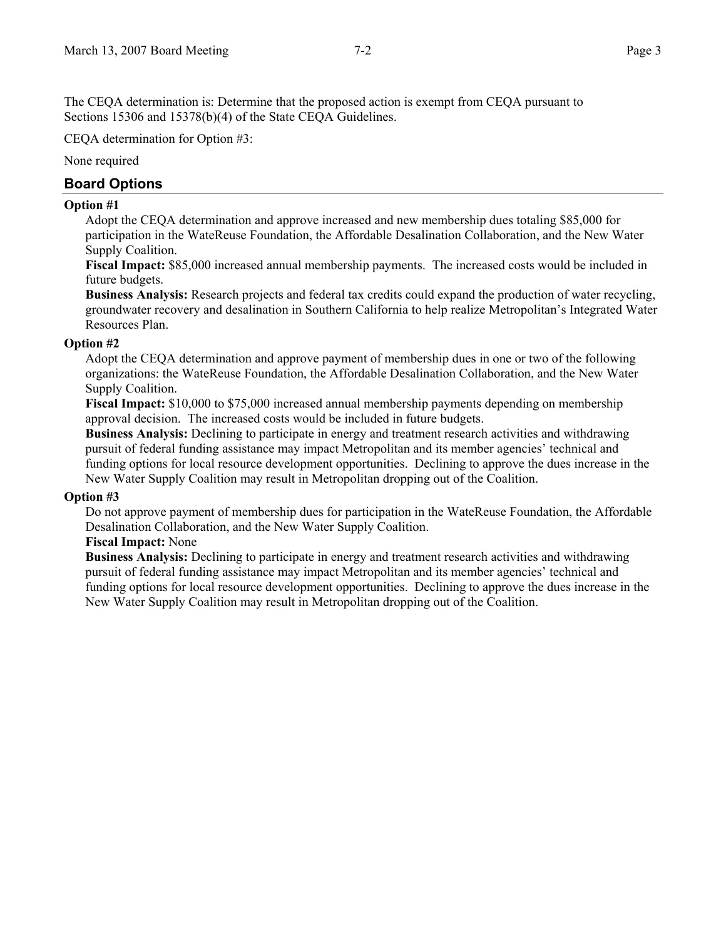The CEQA determination is: Determine that the proposed action is exempt from CEQA pursuant to Sections 15306 and 15378(b)(4) of the State CEQA Guidelines.

CEQA determination for Option #3:

None required

# **Board Options**

#### **Option #1**

Adopt the CEQA determination and approve increased and new membership dues totaling \$85,000 for participation in the WateReuse Foundation, the Affordable Desalination Collaboration, and the New Water Supply Coalition.

**Fiscal Impact:** \$85,000 increased annual membership payments. The increased costs would be included in future budgets.

**Business Analysis:** Research projects and federal tax credits could expand the production of water recycling, groundwater recovery and desalination in Southern California to help realize Metropolitan's Integrated Water Resources Plan.

#### **Option #2**

Adopt the CEQA determination and approve payment of membership dues in one or two of the following organizations: the WateReuse Foundation, the Affordable Desalination Collaboration, and the New Water Supply Coalition.

**Fiscal Impact:** \$10,000 to \$75,000 increased annual membership payments depending on membership approval decision. The increased costs would be included in future budgets.

**Business Analysis:** Declining to participate in energy and treatment research activities and withdrawing pursuit of federal funding assistance may impact Metropolitan and its member agencies' technical and funding options for local resource development opportunities. Declining to approve the dues increase in the New Water Supply Coalition may result in Metropolitan dropping out of the Coalition.

#### **Option #3**

Do not approve payment of membership dues for participation in the WateReuse Foundation, the Affordable Desalination Collaboration, and the New Water Supply Coalition.

#### **Fiscal Impact:** None

**Business Analysis:** Declining to participate in energy and treatment research activities and withdrawing pursuit of federal funding assistance may impact Metropolitan and its member agencies' technical and funding options for local resource development opportunities. Declining to approve the dues increase in the New Water Supply Coalition may result in Metropolitan dropping out of the Coalition.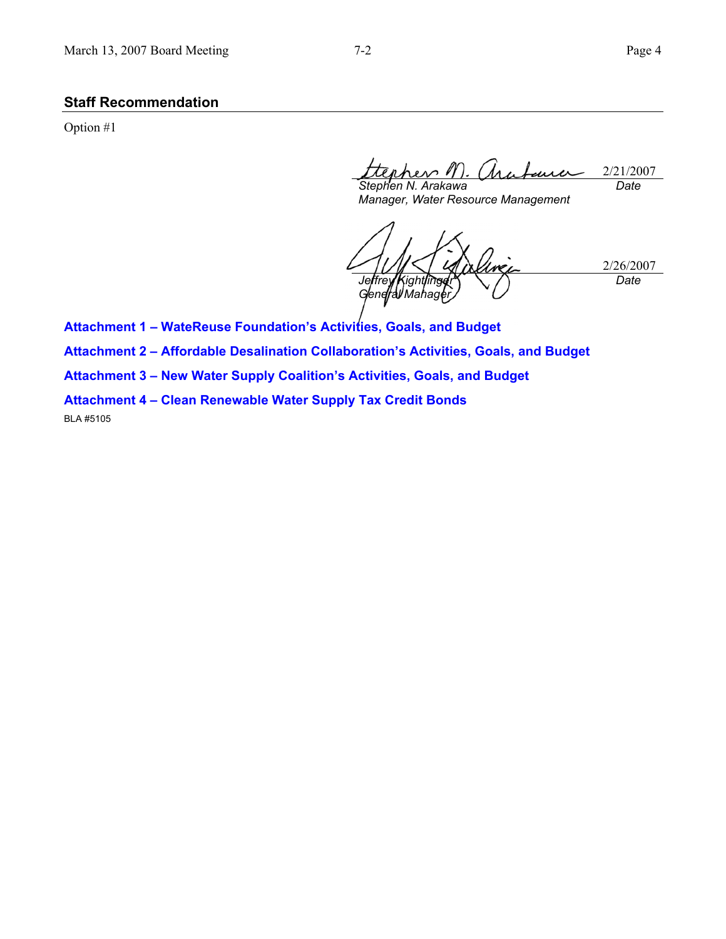### **Staff Recommendation**

Option #1

2/21/2007 ers *M Stephen N. Arakawa Date* 

*Manager, Water Resource Management* 

2/26/2007 *Jeffrey Kightlinger General Mahager) Date* 

**Attachment 1 – WateReuse Foundation's Activities, Goals, and Budget** 

**Attachment 2 – Affordable Desalination Collaboration's Activities, Goals, and Budget** 

**Attachment 3 – New Water Supply Coalition's Activities, Goals, and Budget** 

**Attachment 4 – Clean Renewable Water Supply Tax Credit Bonds** 

BLA #5105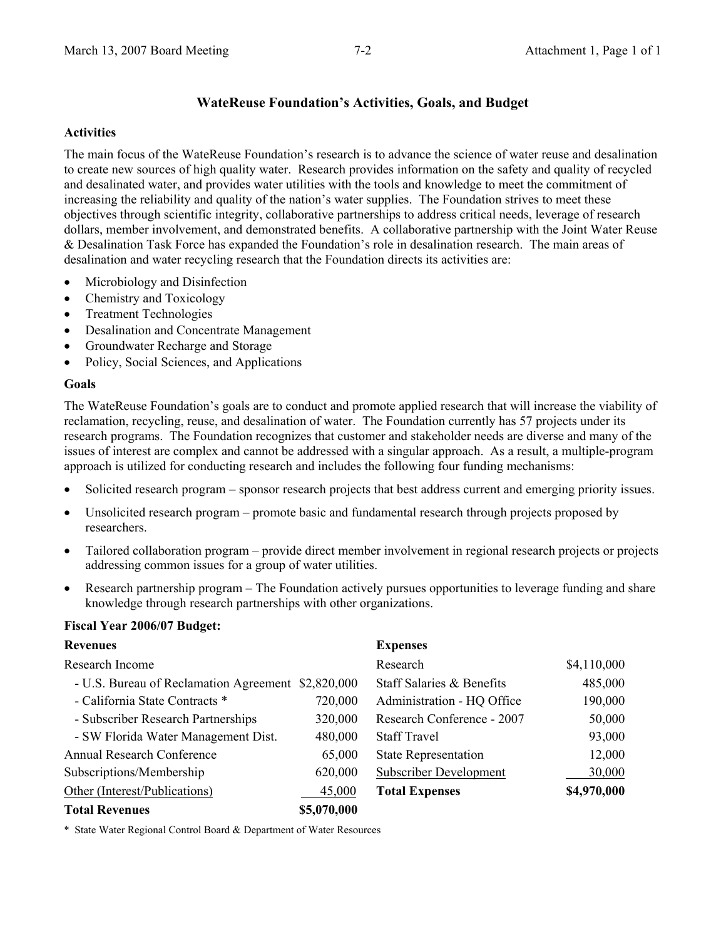# **WateReuse Foundation's Activities, Goals, and Budget**

#### **Activities**

The main focus of the WateReuse Foundation's research is to advance the science of water reuse and desalination to create new sources of high quality water. Research provides information on the safety and quality of recycled and desalinated water, and provides water utilities with the tools and knowledge to meet the commitment of increasing the reliability and quality of the nation's water supplies. The Foundation strives to meet these objectives through scientific integrity, collaborative partnerships to address critical needs, leverage of research dollars, member involvement, and demonstrated benefits. A collaborative partnership with the Joint Water Reuse & Desalination Task Force has expanded the Foundation's role in desalination research. The main areas of desalination and water recycling research that the Foundation directs its activities are:

- Microbiology and Disinfection
- Chemistry and Toxicology
- Treatment Technologies
- Desalination and Concentrate Management
- Groundwater Recharge and Storage
- Policy, Social Sciences, and Applications

# **Goals**

The WateReuse Foundation's goals are to conduct and promote applied research that will increase the viability of reclamation, recycling, reuse, and desalination of water. The Foundation currently has 57 projects under its research programs. The Foundation recognizes that customer and stakeholder needs are diverse and many of the issues of interest are complex and cannot be addressed with a singular approach. As a result, a multiple-program approach is utilized for conducting research and includes the following four funding mechanisms:

- Solicited research program sponsor research projects that best address current and emerging priority issues.
- Unsolicited research program promote basic and fundamental research through projects proposed by researchers.
- Tailored collaboration program provide direct member involvement in regional research projects or projects addressing common issues for a group of water utilities.
- Research partnership program The Foundation actively pursues opportunities to leverage funding and share knowledge through research partnerships with other organizations.

# **Fiscal Year 2006/07 Budget:**

| <b>Revenues</b>                                    |             | <b>Expenses</b>               |             |
|----------------------------------------------------|-------------|-------------------------------|-------------|
| Research Income                                    |             | Research                      | \$4,110,000 |
| - U.S. Bureau of Reclamation Agreement \$2,820,000 |             | Staff Salaries & Benefits     | 485,000     |
| - California State Contracts *                     | 720,000     | Administration - HQ Office    | 190,000     |
| - Subscriber Research Partnerships                 | 320,000     | Research Conference - 2007    | 50,000      |
| - SW Florida Water Management Dist.                | 480,000     | <b>Staff Travel</b>           | 93,000      |
| <b>Annual Research Conference</b>                  | 65,000      | <b>State Representation</b>   | 12,000      |
| Subscriptions/Membership                           | 620,000     | <b>Subscriber Development</b> | 30,000      |
| Other (Interest/Publications)                      | 45,000      | <b>Total Expenses</b>         | \$4,970,000 |
| <b>Total Revenues</b>                              | \$5,070,000 |                               |             |

\* State Water Regional Control Board & Department of Water Resources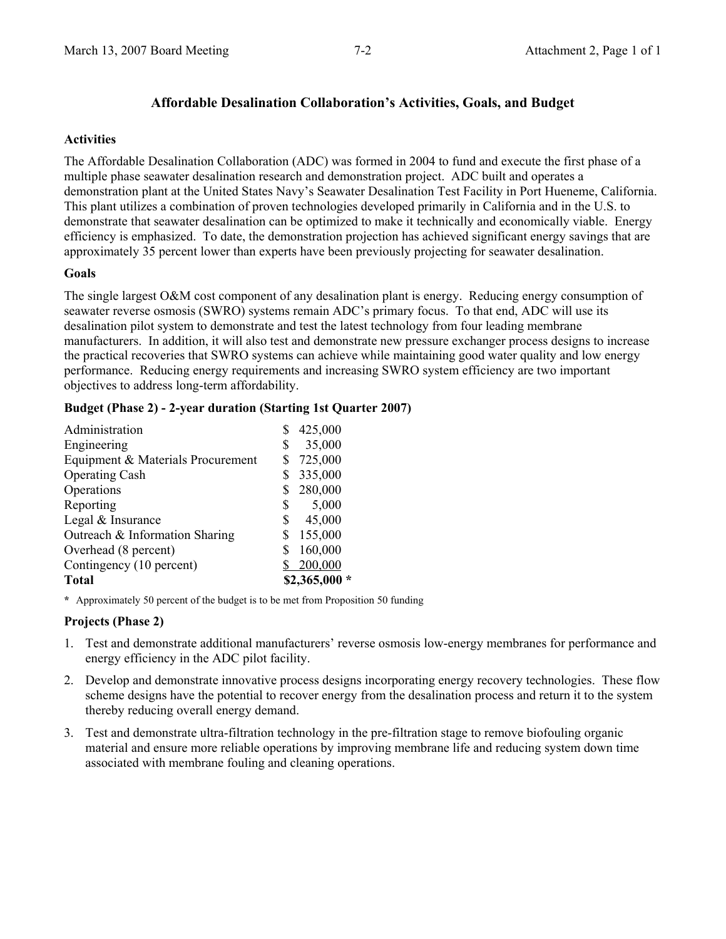# **Affordable Desalination Collaboration's Activities, Goals, and Budget**

#### **Activities**

The Affordable Desalination Collaboration (ADC) was formed in 2004 to fund and execute the first phase of a multiple phase seawater desalination research and demonstration project. ADC built and operates a demonstration plant at the United States Navy's Seawater Desalination Test Facility in Port Hueneme, California. This plant utilizes a combination of proven technologies developed primarily in California and in the U.S. to demonstrate that seawater desalination can be optimized to make it technically and economically viable. Energy efficiency is emphasized. To date, the demonstration projection has achieved significant energy savings that are approximately 35 percent lower than experts have been previously projecting for seawater desalination.

# **Goals**

The single largest O&M cost component of any desalination plant is energy. Reducing energy consumption of seawater reverse osmosis (SWRO) systems remain ADC's primary focus. To that end, ADC will use its desalination pilot system to demonstrate and test the latest technology from four leading membrane manufacturers. In addition, it will also test and demonstrate new pressure exchanger process designs to increase the practical recoveries that SWRO systems can achieve while maintaining good water quality and low energy performance. Reducing energy requirements and increasing SWRO system efficiency are two important objectives to address long-term affordability.

### **Budget (Phase 2) - 2-year duration (Starting 1st Quarter 2007)**

| Administration                    | 425,000       |
|-----------------------------------|---------------|
| Engineering                       | 35,000        |
| Equipment & Materials Procurement | 725,000       |
| <b>Operating Cash</b>             | 335,000       |
| Operations                        | 280,000       |
| Reporting                         | \$<br>5,000   |
| Legal & Insurance                 | \$<br>45,000  |
| Outreach & Information Sharing    | \$<br>155,000 |
| Overhead (8 percent)              | 160,000       |
| Contingency (10 percent)          | 200,000       |
| <b>Total</b>                      | $$2,365,000*$ |

**\*** Approximately 50 percent of the budget is to be met from Proposition 50 funding

# **Projects (Phase 2)**

- 1. Test and demonstrate additional manufacturers' reverse osmosis low-energy membranes for performance and energy efficiency in the ADC pilot facility.
- 2. Develop and demonstrate innovative process designs incorporating energy recovery technologies. These flow scheme designs have the potential to recover energy from the desalination process and return it to the system thereby reducing overall energy demand.
- 3. Test and demonstrate ultra-filtration technology in the pre-filtration stage to remove biofouling organic material and ensure more reliable operations by improving membrane life and reducing system down time associated with membrane fouling and cleaning operations.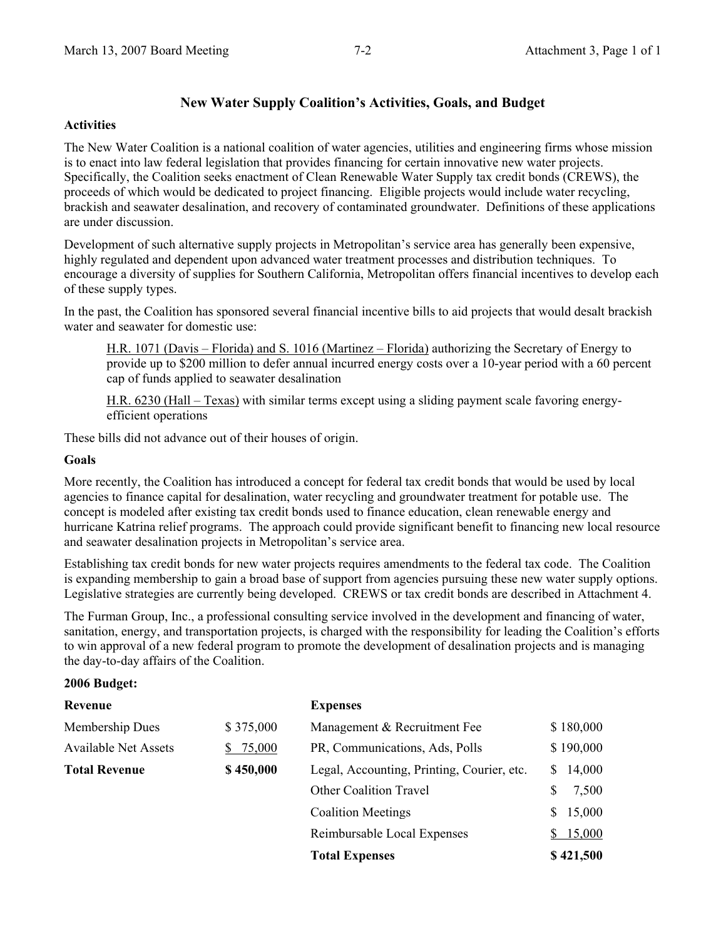# **New Water Supply Coalition's Activities, Goals, and Budget**

#### **Activities**

The New Water Coalition is a national coalition of water agencies, utilities and engineering firms whose mission is to enact into law federal legislation that provides financing for certain innovative new water projects. Specifically, the Coalition seeks enactment of Clean Renewable Water Supply tax credit bonds (CREWS), the proceeds of which would be dedicated to project financing. Eligible projects would include water recycling, brackish and seawater desalination, and recovery of contaminated groundwater. Definitions of these applications are under discussion.

Development of such alternative supply projects in Metropolitan's service area has generally been expensive, highly regulated and dependent upon advanced water treatment processes and distribution techniques. To encourage a diversity of supplies for Southern California, Metropolitan offers financial incentives to develop each of these supply types.

In the past, the Coalition has sponsored several financial incentive bills to aid projects that would desalt brackish water and seawater for domestic use:

H.R. 1071 (Davis – Florida) and S. 1016 (Martinez – Florida) authorizing the Secretary of Energy to provide up to \$200 million to defer annual incurred energy costs over a 10-year period with a 60 percent cap of funds applied to seawater desalination

H.R. 6230 (Hall – Texas) with similar terms except using a sliding payment scale favoring energyefficient operations

These bills did not advance out of their houses of origin.

#### **Goals**

More recently, the Coalition has introduced a concept for federal tax credit bonds that would be used by local agencies to finance capital for desalination, water recycling and groundwater treatment for potable use. The concept is modeled after existing tax credit bonds used to finance education, clean renewable energy and hurricane Katrina relief programs. The approach could provide significant benefit to financing new local resource and seawater desalination projects in Metropolitan's service area.

Establishing tax credit bonds for new water projects requires amendments to the federal tax code. The Coalition is expanding membership to gain a broad base of support from agencies pursuing these new water supply options. Legislative strategies are currently being developed. CREWS or tax credit bonds are described in Attachment 4.

The Furman Group, Inc., a professional consulting service involved in the development and financing of water, sanitation, energy, and transportation projects, is charged with the responsibility for leading the Coalition's efforts to win approval of a new federal program to promote the development of desalination projects and is managing the day-to-day affairs of the Coalition.

#### **2006 Budget:**

| Revenue                     |           | <b>Expenses</b>                            |              |
|-----------------------------|-----------|--------------------------------------------|--------------|
| Membership Dues             | \$375,000 | Management & Recruitment Fee               | \$180,000    |
| <b>Available Net Assets</b> | \$75,000  | PR, Communications, Ads, Polls             | \$190,000    |
| <b>Total Revenue</b>        | \$450,000 | Legal, Accounting, Printing, Courier, etc. | 14,000<br>S. |
|                             |           | <b>Other Coalition Travel</b>              | 7,500<br>S   |
|                             |           | <b>Coalition Meetings</b>                  | 15,000<br>S  |
|                             |           | Reimbursable Local Expenses                | 15,000<br>S. |
|                             |           | <b>Total Expenses</b>                      | \$421,500    |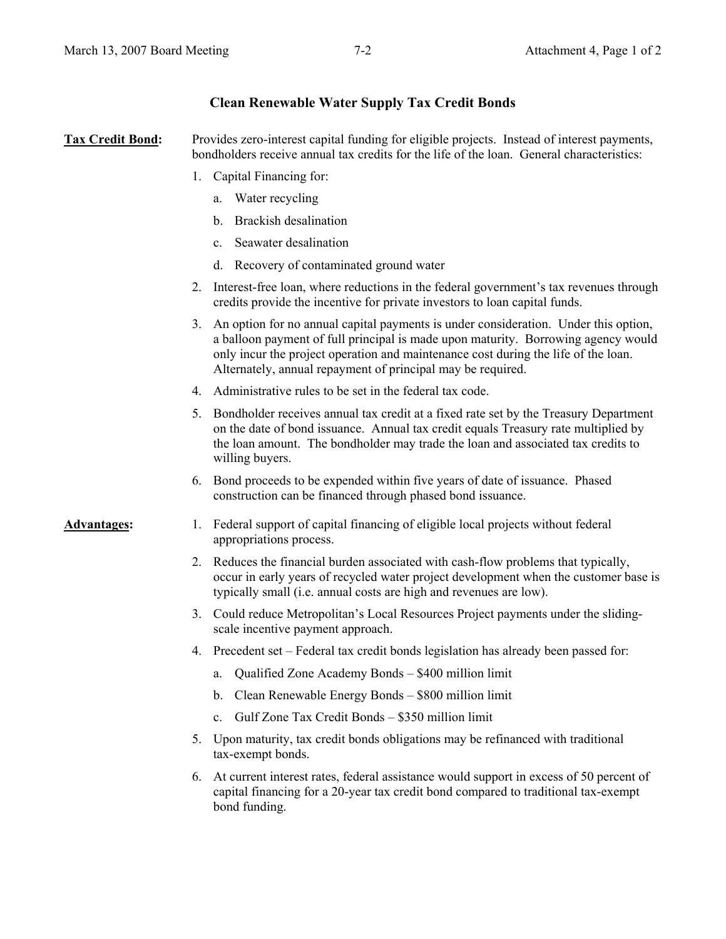# **Clean Renewable Water Supply Tax Credit Bonds**

**Tax Credit Bond:** Provides zero-interest capital funding for eligible projects. Instead of interest payments, bondholders receive annual tax credits for the life of the loan. General characteristics:

- 1. Capital Financing for:
	- a. Water recycling
	- b. Brackish desalination
	- c. Seawater desalination
	- d. Recovery of contaminated ground water
- 2. Interest-free loan, where reductions in the federal government's tax revenues through credits provide the incentive for private investors to loan capital funds.
- 3. An option for no annual capital payments is under consideration. Under this option, a balloon payment of full principal is made upon maturity. Borrowing agency would only incur the project operation and maintenance cost during the life of the loan. Alternately, annual repayment of principal may be required.
- 4. Administrative rules to be set in the federal tax code.
- 5. Bondholder receives annual tax credit at a fixed rate set by the Treasury Department on the date of bond issuance. Annual tax credit equals Treasury rate multiplied by the loan amount. The bondholder may trade the loan and associated tax credits to willing buyers.
- 6. Bond proceeds to be expended within five years of date of issuance. Phased construction can be financed through phased bond issuance.

- **Advantages:** 1. Federal support of capital financing of eligible local projects without federal appropriations process.
	- 2. Reduces the financial burden associated with cash-flow problems that typically, occur in early years of recycled water project development when the customer base is typically small (i.e. annual costs are high and revenues are low).
	- 3. Could reduce Metropolitan's Local Resources Project payments under the slidingscale incentive payment approach.
	- 4. Precedent set Federal tax credit bonds legislation has already been passed for:
		- a. Qualified Zone Academy Bonds \$400 million limit
		- b. Clean Renewable Energy Bonds \$800 million limit
		- c. Gulf Zone Tax Credit Bonds \$350 million limit
	- 5. Upon maturity, tax credit bonds obligations may be refinanced with traditional tax-exempt bonds.
	- 6. At current interest rates, federal assistance would support in excess of 50 percent of capital financing for a 20-year tax credit bond compared to traditional tax-exempt bond funding.